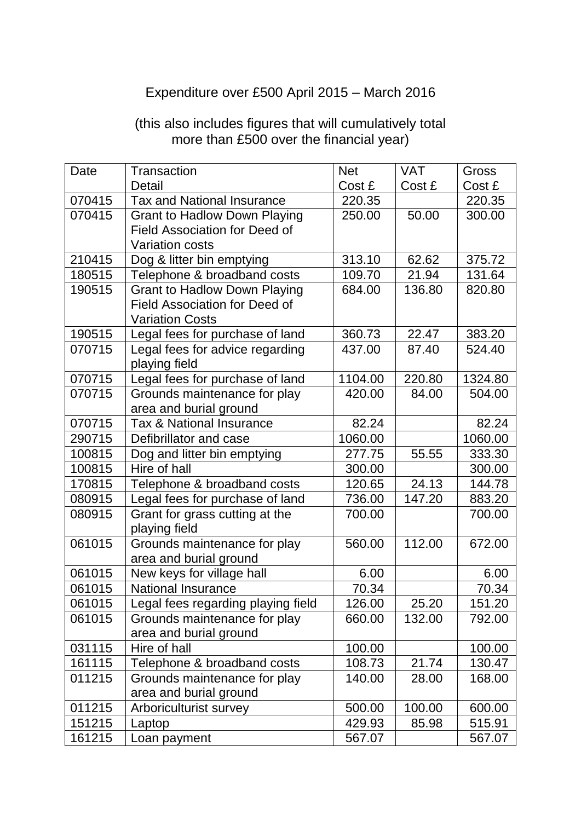## Expenditure over £500 April 2015 – March 2016

| Date   | Transaction                          | <b>Net</b> | <b>VAT</b> | Gross   |
|--------|--------------------------------------|------------|------------|---------|
|        | Detail                               | Cost £     | Cost £     | Cost £  |
| 070415 | <b>Tax and National Insurance</b>    | 220.35     |            | 220.35  |
| 070415 | <b>Grant to Hadlow Down Playing</b>  | 250.00     | 50.00      | 300.00  |
|        | <b>Field Association for Deed of</b> |            |            |         |
|        | <b>Variation costs</b>               |            |            |         |
| 210415 | Dog & litter bin emptying            | 313.10     | 62.62      | 375.72  |
| 180515 | Telephone & broadband costs          | 109.70     | 21.94      | 131.64  |
| 190515 | <b>Grant to Hadlow Down Playing</b>  | 684.00     | 136.80     | 820.80  |
|        | <b>Field Association for Deed of</b> |            |            |         |
|        | <b>Variation Costs</b>               |            |            |         |
| 190515 | Legal fees for purchase of land      | 360.73     | 22.47      | 383.20  |
| 070715 | Legal fees for advice regarding      | 437.00     | 87.40      | 524.40  |
|        | playing field                        |            |            |         |
| 070715 | Legal fees for purchase of land      | 1104.00    | 220.80     | 1324.80 |
| 070715 | Grounds maintenance for play         | 420.00     | 84.00      | 504.00  |
|        | area and burial ground               |            |            |         |
| 070715 | <b>Tax &amp; National Insurance</b>  | 82.24      |            | 82.24   |
| 290715 | Defibrillator and case               | 1060.00    |            | 1060.00 |
| 100815 | Dog and litter bin emptying          | 277.75     | 55.55      | 333.30  |
| 100815 | Hire of hall                         | 300.00     |            | 300.00  |
| 170815 | Telephone & broadband costs          | 120.65     | 24.13      | 144.78  |
| 080915 | Legal fees for purchase of land      | 736.00     | 147.20     | 883.20  |
| 080915 | Grant for grass cutting at the       | 700.00     |            | 700.00  |
|        | playing field                        |            |            |         |
| 061015 | Grounds maintenance for play         | 560.00     | 112.00     | 672.00  |
|        | area and burial ground               |            |            |         |
| 061015 | New keys for village hall            | 6.00       |            | 6.00    |
| 061015 | <b>National Insurance</b>            | 70.34      |            | 70.34   |
| 061015 | Legal fees regarding playing field   | 126.00     | 25.20      | 151.20  |
| 061015 | Grounds maintenance for play         | 660.00     | 132.00     | 792.00  |
|        | area and burial ground               |            |            |         |
| 031115 | Hire of hall                         | 100.00     |            | 100.00  |
| 161115 | Telephone & broadband costs          | 108.73     | 21.74      | 130.47  |
| 011215 | Grounds maintenance for play         | 140.00     | 28.00      | 168.00  |
|        | area and burial ground               |            |            |         |
| 011215 | Arboriculturist survey               | 500.00     | 100.00     | 600.00  |
| 151215 | Laptop                               | 429.93     | 85.98      | 515.91  |
| 161215 | Loan payment                         | 567.07     |            | 567.07  |

## (this also includes figures that will cumulatively total more than £500 over the financial year)